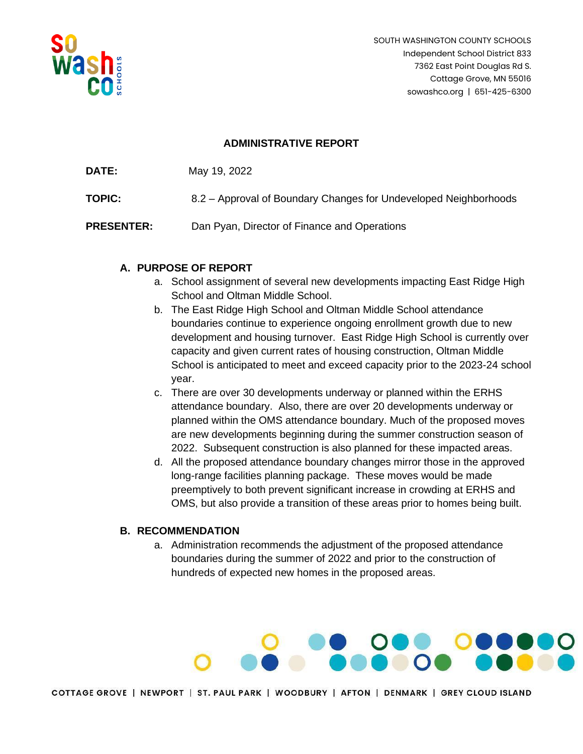

## **ADMINISTRATIVE REPORT**

| <b>DATE:</b> | May 19, 2022 |  |
|--------------|--------------|--|
|              |              |  |

**TOPIC:** 8.2 – Approval of Boundary Changes for Undeveloped Neighborhoods

**PRESENTER:** Dan Pyan, Director of Finance and Operations

## **A. PURPOSE OF REPORT**

- a. School assignment of several new developments impacting East Ridge High School and Oltman Middle School.
- b. The East Ridge High School and Oltman Middle School attendance boundaries continue to experience ongoing enrollment growth due to new development and housing turnover. East Ridge High School is currently over capacity and given current rates of housing construction, Oltman Middle School is anticipated to meet and exceed capacity prior to the 2023-24 school year.
- c. There are over 30 developments underway or planned within the ERHS attendance boundary. Also, there are over 20 developments underway or planned within the OMS attendance boundary. Much of the proposed moves are new developments beginning during the summer construction season of 2022. Subsequent construction is also planned for these impacted areas.
- d. All the proposed attendance boundary changes mirror those in the approved long-range facilities planning package. These moves would be made preemptively to both prevent significant increase in crowding at ERHS and OMS, but also provide a transition of these areas prior to homes being built.

### **B. RECOMMENDATION**

a. Administration recommends the adjustment of the proposed attendance boundaries during the summer of 2022 and prior to the construction of hundreds of expected new homes in the proposed areas.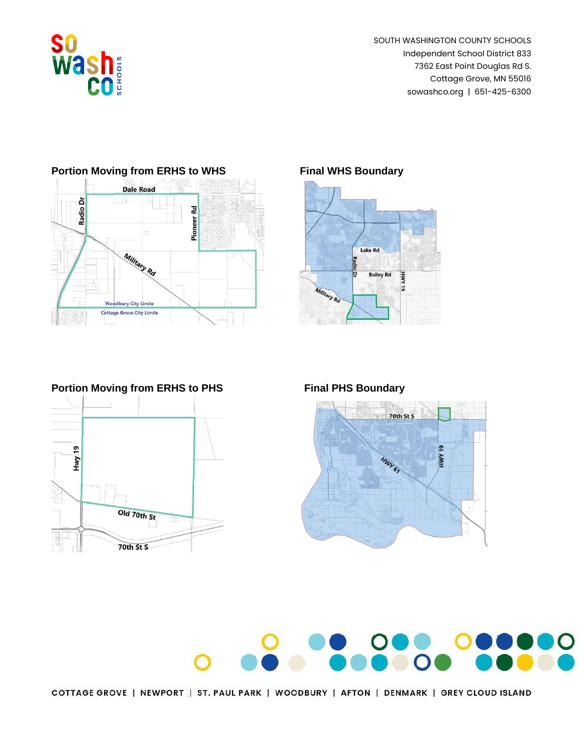



## **Portion Moving from ERHS to WHS Final WHS Boundary**











COTTAGE GROVE | NEWPORT | ST. PAUL PARK | WOODBURY | AFTON | DENMARK | GREY CLOUD ISLAND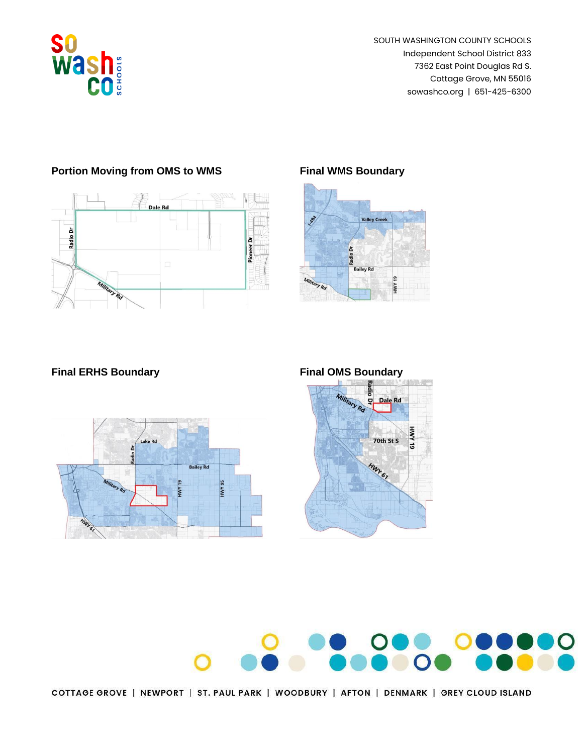

# Radio Dr Pioneer Dr

# **Portion Moving from OMS to WMS Final WMS Boundary**









COTTAGE GROVE | NEWPORT | ST. PAUL PARK | WOODBURY | AFTON | DENMARK | GREY CLOUD ISLAND